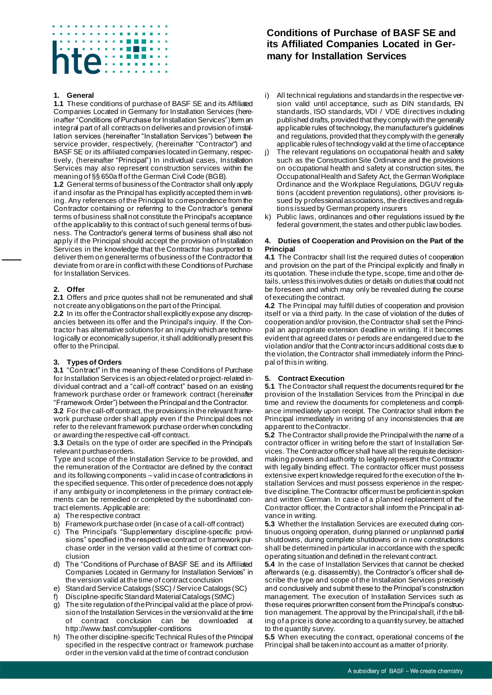# 医单元 医单位骨 te illi

#### **1. General**

**1.1** These conditions of purchase of BASF SE and its Affiliated Companies Located in Germany for Installation Services (hereinafter "Conditions of Purchase for Installation Services") form an integral part of all contracts on deliveries and provision of installation services (hereinafter "Installation Services") between the service provider, respectively, (hereinafter "Contractor") and BASF SE or its affiliated companies located in Germany, respectively, (hereinafter "Principal") In individual cases, Installation Services may also represent construction services within the meaning of §§ 650a ff of the German Civil Code (BGB).

**1.2** General terms of business of the Contractor shall only apply if and insofar as the Principal has explicitly accepted them in writing. Any references of the Principal to correspondence from the Contractor containing or referring to the Contractor's general terms of business shall not constitute the Principal's acceptance of the applicability to this contract of such general terms of business. The Contractor's general terms of business shall also not apply if the Principal should accept the provision of Installation Services in the knowledge that the Contractor has purported to deliver them on general terms of business of the Contractor that deviate from or are in conflict with these Conditions of Purchase for Installation Services.

#### **2. Offer**

**2.1** Offers and price quotes shall not be remunerated and shall not create any obligations on the part of the Principal.

**2.2** In its offer the Contractor shall explicitly expose any discrepancies between its offer and the Principal's inquiry. If the Contractor has alternative solutions for an inquiry which are technologically or economically superior, it shall additionally present this offer to the Principal.

#### **3. Types of Orders**

**3.1** "Contract" in the meaning of these Conditions of Purchase for Installation Services is an object-related or project-related individual contract and a "call-off contract" based on an existing framework purchase order or framework contract (hereinafter "Framework Order") between the Principal and the Contractor.

**3.2** For the call-off contract, the provisions in the relevant framework purchase order shall apply even if the Principal does not refer to the relevant framework purchase order when concluding or awarding the respective call-off contract.

**3.3** Details on the type of order are specified in the Principal's relevant purchase orders.

Type and scope of the Installation Service to be provided, and the remuneration of the Contractor are defined by the contract and its following components – valid in case of contradictions in the specified sequence. This order of precedence does not apply if any ambiguity or incompleteness in the primary contract elements can be remedied or completed by the subordinated contract elements. Applicable are:

- a) The respective contract
- b) Framework purchase order (in case of a call-off contract)
- c) The Principal's "Supplementary discipline-specific provisions" specified in the respective contract or framework purchase order in the version valid at the time of contract conclusion
- d) The "Conditions of Purchase of BASF SE and its Affiliated Companies Located in Germany for Installation Services" in the version valid at the time of contract conclusion
- e) Standard Service Catalogs (SSC) / Service Catalogs (SC)
- f) Discipline-specific Standard Material Catalogs (StMC)
- g) The site regulation of the Principal valid at the place of provision of the Installation Services in the version valid at the time of contract conclusion can be downloaded http://www.basf.com/supplier-conditions
- h) The other discipline-specific Technical Rules of the Principal specified in the respective contract or framework purchase order in the version valid at the time of contract conclusion

# **Conditions of Purchase of BASF SE and its Affiliated Companies Located in Germany for Installation Services**

- i) All technical regulations and standards in the respective version valid until acceptance, such as DIN standards, EN standards, ISO standards, VDI / VDE directives including published drafts, provided that they comply with the generally applicable rules of technology, the manufacturer's guidelines and regulations, provided that they comply with the generally applicable rules of technology valid at the time of acceptance
- j) The relevant regulations on occupational health and safety such as the Construction Site Ordinance and the provisions on occupational health and safety at construction sites, the Occupational Health and Safety Act, the German Workplace Ordinance and the Workplace Regulations, DGUV regulations (accident prevention regulations), other provisions issued by professional associations, the directives and regulations issued by German property insurers
- k) Public laws, ordinances and other regulations issued by the federal government, the states and other public law bodies.

#### **4. Duties of Cooperation and Provision on the Part of the Principal**

**4.1** The Contractor shall list the required duties of cooperation and provision on the part of the Principal explicitly and finally in its quotation. These include the type, scope, time and other details, unless this involves duties or details on duties that could not be foreseen and which may only be revealed during the course of executing the contract.

**4.2** The Principal may fulfill duties of cooperation and provision itself or via a third party. In the case of violation of the duties of cooperation and/or provision, the Contractor shall set the Principal an appropriate extension deadline in writing. If it becomes evident that agreed dates or periods are endangered due to the violation and/or that the Contractor incurs additional costs due to the violation, the Contractor shall immediately inform the Principal of this in writing.

#### **5. Contract Execution**

**5.1** The Contractor shall request the documents required for the provision of the Installation Services from the Principal in due time and review the documents for completeness and compliance immediately upon receipt. The Contractor shall inform the Principal immediately in writing of any inconsistencies that are apparent to the Contractor.

**5.2** The Contractor shall provide the Principal with the name of a contractor officer in writing before the start of Installation Services. The Contractor officer shall have all the requisite decisionmaking powers and authority to legally represent the Contractor with legally binding effect. The contractor officer must possess extensive expert knowledge required for the execution of the Installation Services and must possess experience in the respective discipline. The Contractor officer must be proficient in spoken and written German. In case of a planned replacement of the Contractor officer, the Contractor shall inform the Principal in advance in writing.

**5.3** Whether the Installation Services are executed during continuous ongoing operation, during planned or unplanned partial shutdowns, during complete shutdowns or in new constructions shall be determined in particular in accordance with the specific operating situation and defined in the relevant contract.

**5.4** In the case of Installation Services that cannot be checked afterwards (e.g. disassembly), the Contractor's officer shall describe the type and scope of the Installation Services precisely and conclusively and submit these to the Principal's construction management. The execution of Installation Services such as these requires prior written consent from the Principal's construction management. The approval by the Principal shall, if the billing of a price is done according to a quantity survey, be attached to the quantity survey.

**5.5** When executing the contract, operational concerns of the Principal shall be taken into account as a matter of priority.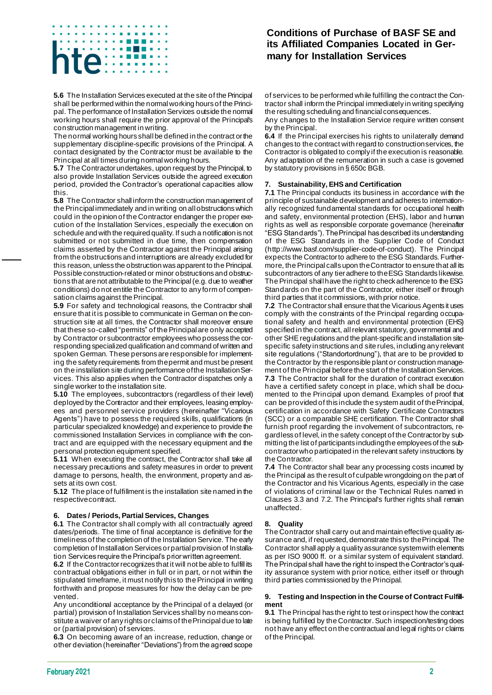# 医无子宫 医骨膜炎 *<u>B. B. B. B.</u>*

**5.6** The Installation Services executed at the site of the Principal shall be performed within the normal working hours of the Principal. The performance of Installation Services outside the normal working hours shall require the prior approval of the Principal's construction management in writing.

The normal working hours shall be defined in the contract or the supplementary discipline-specific provisions of the Principal. A contact designated by the Contractor must be available to the Principal at all times during normal working hours.

**5.7** The Contractor undertakes, upon request by the Principal, to also provide Installation Services outside the agreed execution period, provided the Contractor's operational capacities allow this.

**5.8** The Contractor shall inform the construction management of the Principal immediately and in writing on all obstructions which could in the opinion of the Contractor endanger the proper execution of the Installation Services, especially the execution on schedule and with the required quality. If such a notification is not submitted or not submitted in due time, then compensation claims asserted by the Contractor against the Principal arising from the obstructions and interruptions are already excluded for this reason, unless the obstruction was apparent to the Principal. Possible construction-related or minor obstructions and obstructions that are not attributable to the Principal (e.g. due to weather conditions) do not entitle the Contractor to any form of compensation claims against the Principal.

**5.9** For safety and technological reasons, the Contractor shall ensure that it is possible to communicate in German on the construction site at all times, the Contractor shall moreover ensure that these so-called "permits" of the Principal are only accepted by Contractor or subcontractor employees who possess the corresponding specialized qualification and command of written and spoken German. These persons are responsible for implementing the safety requirements from the permit and must be present on the installation site during performance of the Installation Services. This also applies when the Contractor dispatches only a single worker to the installation site.

**5.10** The employees, subcontractors (regardless of their level) deployed by the Contractor and their employees, leasing employees and personnel service providers (hereinafter "Vicarious Agents") have to possess the required skills, qualifications (in particular specialized knowledge) and experience to provide the commissioned Installation Services in compliance with the contract and are equipped with the necessary equipment and the personal protection equipment specified.

**5.11** When executing the contract, the Contractor shall take all necessary precautions and safety measures in order to prevent damage to persons, health, the environment, property and assets at its own cost.

**5.12** The place of fulfillment is the installation site named in the respective contract.

#### **6. Dates / Periods, Partial Services, Changes**

**6.1** The Contractor shall comply with all contractually agreed dates/periods. The time of final acceptance is definitive for the timeliness of the completion of the Installation Service. The early completion of Installation Services or partial provision of Installation Services require the Principal's prior written agreement.

**6.2** If the Contractor recognizes that it will not be able to fulfill its contractual obligations either in full or in part, or not within the stipulated timeframe, it must notify this to the Principal in writing forthwith and propose measures for how the delay can be prevented.

Any unconditional acceptance by the Principal of a delayed (or partial) provision of Installation Services shall by no means constitute a waiver of any rights or claims of the Principal due to late or (partial provision) of services.

**6.3** On becoming aware of an increase, reduction, change or other deviation (hereinafter "Deviations") from the agreed scope

### **Conditions of Purchase of BASF SE and its Affiliated Companies Located in Germany for Installation Services**

of services to be performed while fulfilling the contract the Contractor shall inform the Principal immediately in writing specifying the resulting scheduling and financial consequences.

Any changes to the Installation Service require written consent by the Principal.

**6.4** If the Principal exercises his rights to unilaterally demand changes to the contract with regard to construction services, the Contractor is obligated to comply if the execution is reasonable. Any adaptation of the remuneration in such a case is governed by statutory provisions in § 650c BGB.

#### **7. Sustainability, EHS and Certification**

**7.1** The Principal conducts its business in accordance with the principle of sustainable development and adheres to internationally recognized fundamental standards for occupational health and safety, environmental protection (EHS), labor and human rights as well as responsible corporate governance (hereinafter "ESG Standards"). The Principal has described its understanding of the ESG Standards in the Supplier Code of Conduct (http://www.basf.com/supplier-code-of-conduct). The Principal expects the Contractor to adhere to the ESG Standards. Furthermore, the Principal calls upon the Contractor to ensure that all its subcontractors of any tier adhere to the ESG Standards likewise. The Principal shall have the right to check adherence to the ESG Standards on the part of the Contractor, either itself or through third parties that it commissions, with prior notice.

**7.2** The Contractor shall ensure that the Vicarious Agents it uses comply with the constraints of the Principal regarding occupational safety and health and environmental protection (EHS) specified in the contract, all relevant statutory, governmental and other SHE regulations and the plant-specific and installation sitespecific safety instructions and site rules, including any relevant site regulations ("Standortordnung"), that are to be provided to the Contractor by the responsible plant or construction management of the Principal before the start of the Installation Services. **7.3** The Contractor shall for the duration of contract execution have a certified safety concept in place, which shall be documented to the Principal upon demand. Examples of proof that can be provided of this include the system audit of the Principal, certification in accordance with Safety Certificate Contractors (SCC) or a comparable SHE certification. The Contractor shall furnish proof regarding the involvement of subcontractors, regardless of level, in the safety concept of the Contractor by submitting the list of participants including the employees of the subcontractor who participated in the relevant safety instructions by the Contractor.

**7.4** The Contractor shall bear any processing costs incurred by the Principal as the result of culpable wrongdoing on the part of the Contractor and his Vicarious Agents, especially in the case of violations of criminal law or the Technical Rules named in Clauses 3.3 and 7.2. The Principal's further rights shall remain unaffected.

#### **8. Quality**

The Contractor shall carry out and maintain effective quality assurance and, if requested, demonstrate this to the Principal. The Contractor shall apply a quality assurance system with elements as per ISO 9000 ff. or a similar system of equivalent standard. The Principal shall have the right to inspect the Contractor's quality assurance system with prior notice, either itself or through third parties commissioned by the Principal.

#### **9. Testing and Inspection in the Course of Contract Fulfillment**

**9.1** The Principal has the right to test or inspect how the contract is being fulfilled by the Contractor. Such inspection/testing does not have any effect on the contractual and legal rights or claims of the Principal.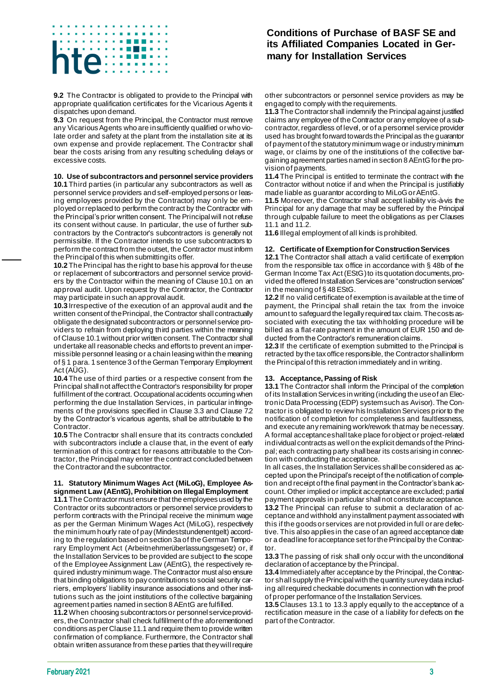# 医无子宫 医骨膜炎

**9.2** The Contractor is obligated to provide to the Principal with appropriate qualification certificates for the Vicarious Agents it dispatches upon demand.

**9.3** On request from the Principal, the Contractor must remove any Vicarious Agents who are insufficiently qualified or who violate order and safety at the plant from the installation site at its own expense and provide replacement. The Contractor shall bear the costs arising from any resulting scheduling delays or excessive costs.

#### **10. Use of subcontractors and personnel service providers**

**10.1** Third parties (in particular any subcontractors as well as personnel service providers and self-employed persons or leasing employees provided by the Contractor) may only be employed or replaced to perform the contract by the Contractor with the Principal's prior written consent. The Principal will not refuse its consent without cause. In particular, the use of further subcontractors by the Contractor's subcontractors is generally not permissible. If the Contractor intends to use subcontractors to perform the contract from the outset, the Contractor must inform the Principal of this when submitting its offer.

**10.2** The Principal has the right to base his approval for the use or replacement of subcontractors and personnel service providers by the Contractor within the meaning of Clause 10.1 on an approval audit. Upon request by the Contractor, the Contractor may participate in such an approval audit.

**10.3** Irrespective of the execution of an approval audit and the written consent of the Principal, the Contractor shall contractually obligate the designated subcontractors or personnel service providers to refrain from deploying third parties within the meaning of Clause 10.1 without prior written consent. The Contractor shall undertake all reasonable checks and efforts to prevent an impermissible personnel leasing or a chain leasing within the meaning of § 1 para. 1 sentence 3 of the German Temporary Employment Act (AÜG).

**10.4** The use of third parties or a respective consent from the Principal shall not affect the Contractor's responsibility for proper fulfillment of the contract. Occupational accidents occurring when performing the due Installation Services, in particular infringements of the provisions specified in Clause 3.3 and Clause 7.2 by the Contractor's vicarious agents, shall be attributable to the Contractor.

**10.5** The Contractor shall ensure that its contracts concluded with subcontractors include a clause that, in the event of early termination of this contract for reasons attributable to the Contractor, the Principal may enter the contract concluded between the Contractor and the subcontractor.

#### **11. Statutory Minimum Wages Act (MiLoG), Employee Assignment Law (AEntG), Prohibition on Illegal Employment**

**11.1** The Contractor must ensure that the employees used by the Contractor or its subcontractors or personnel service providers to perform contracts with the Principal receive the minimum wage as per the German Minimum Wages Act (MiLoG), respectively the minimum hourly rate of pay (Mindeststundenentgelt) according to the regulation based on section 3a of the German Temporary Employment Act (Arbeitnehmerüberlassungsgesetz) or, if the Installation Services to be provided are subject to the scope of the Employee Assignment Law (AEntG), the respectively required industry minimum wage. The Contractor must also ensure that binding obligations to pay contributions to social security carriers, employers' liability insurance associations and other institutions such as the joint institutions of the collective bargaining agreement parties named in section 8 AEntG are fulfilled.

**11.2** When choosing subcontractors or personnel service providers, the Contractor shall check fulfillment of the aforementioned conditions as per Clause 11.1 and require them to provide written confirmation of compliance. Furthermore, the Contractor shall obtain written assurance from these parties that they will require

## **Conditions of Purchase of BASF SE and its Affiliated Companies Located in Germany for Installation Services**

other subcontractors or personnel service providers as may be engaged to comply with the requirements.

**11.3** The Contractor shall indemnify the Principal against justified claims any employee of the Contractor or any employee of a subcontractor, regardless of level, or of a personnel service provider used has brought forward towards the Principal as the guarantor of payment of the statutory minimum wage or industry minimum wage, or claims by one of the institutions of the collective bargaining agreement parties named in section 8 AEntG for the provision of payments.

**11.4** The Principal is entitled to terminate the contract with the Contractor without notice if and when the Principal is justifiably made liable as guarantor according to MiLoG or AEntG.

**11.5** Moreover, the Contractor shall accept liability vis-à-vis the Principal for any damage that may be suffered by the Principal through culpable failure to meet the obligations as per Clauses 11.1 and 11.2.

**11.6** Illegal employment of all kinds is prohibited.

#### **12. Certificate of Exemption for Construction Services**

**12.1** The Contractor shall attach a valid certificate of exemption from the responsible tax office in accordance with § 48b of the German Income Tax Act (EStG) to its quotation documents, provided the offered Installation Services are "construction services" in the meaning of § 48 EStG.

**12.2** If no valid certificate of exemption is available at the time of payment, the Principal shall retain the tax from the invoice amount to safeguard the legally required tax claim. The costs associated with executing the tax withholding procedure will be billed as a flat-rate payment in the amount of EUR 150 and deducted from the Contractor's remuneration claims.

**12.3** If the certificate of exemption submitted to the Principal is retracted by the tax office responsible, the Contractor shall inform the Principal of this retraction immediately and in writing.

#### **13. Acceptance, Passing of Risk**

**13.1** The Contractor shall inform the Principal of the completion of its Installation Services in writing (including the use of an Electronic Data Processing (EDP) system such as Avisor). The Contractor is obligated to review his Installation Services prior to the notification of completion for completeness and faultlessness, and execute any remaining work/rework that may be necessary. A formal acceptance shall take place for object or project-related individual contracts as well on the explicit demands of the Principal; each contracting party shall bear its costs arising in connection with conducting the acceptance.

In all cases, the Installation Services shall be considered as accepted upon the Principal's receipt of the notification of completion and receipt ofthe final payment in the Contractor's bank account. Other implied or implicit acceptance are excluded; partial payment approvals in particular shall not constitute acceptance. **13.2** The Principal can refuse to submit a declaration of acceptance and withhold any installment payment associated with this if the goods or services are not provided in full or are defective. This also applies in the case of an agreed acceptance date or a deadline for acceptance set for the Principal by the Contractor.

**13.3** The passing of risk shall only occur with the unconditional declaration of acceptance by the Principal.

**13.4** Immediately after acceptance by the Principal, the Contractor shall supply the Principal with the quantity survey data including all required checkable documents in connection with the proof of proper performance of the Installation Services.

**13.5** Clauses 13.1 to 13.3 apply equally to the acceptance of a rectification measure in the case of a liability for defects on the part of the Contractor.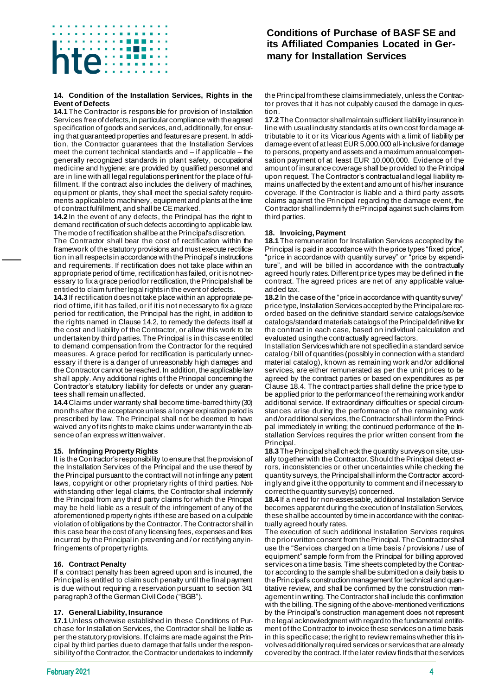# 医无子宫 医骨膜炎 të  $......$

#### **14. Condition of the Installation Services, Rights in the Event of Defects**

**14.1** The Contractor is responsible for provision of Installation Services free of defects, in particular compliance with the agreed specification of goods and services, and, additionally, for ensuring that guaranteed properties and features are present. In addition, the Contractor guarantees that the Installation Services meet the current technical standards and – if applicable – the generally recognized standards in plant safety, occupational medicine and hygiene; are provided by qualified personnel and are in line with all legal regulations pertinent for the place of fulfillment. If the contract also includes the delivery of machines, equipment or plants, they shall meet the special safety requirements applicable to machinery, equipment and plants at the time of contract fulfillment, and shall be CE marked.

**14.2** In the event of any defects, the Principal has the right to demand rectification of such defects according to applicable law. The mode of rectification shall be at the Principal's discretion.

The Contractor shall bear the cost of rectification within the framework of the statutory provisions and must execute rectification in all respects in accordance with the Principal's instructions and requirements. If rectification does not take place within an appropriate period of time, rectification has failed, or it is not necessary to fix a grace period for rectification, the Principal shall be entitled to claim further legal rights in the event of defects.

**14.3** If rectification does not take place within an appropriate period of time, if it has failed, or if it is not necessary to fix a grace period for rectification, the Principal has the right, in addition to the rights named in Clause 14.2, to remedy the defects itself at the cost and liability of the Contractor, or allow this work to be undertaken by third parties. The Principal is in this case entitled to demand compensation from the Contractor for the required measures. A grace period for rectification is particularly unnecessary if there is a danger of unreasonably high damages and the Contractor cannot be reached. In addition, the applicable law shall apply. Any additional rights of the Principal concerning the Contractor's statutory liability for defects or under any guarantees shall remain unaffected.

**14.4** Claims under warranty shall become time-barred thirty (30) months after the acceptance unless a longer expiration period is prescribed by law. The Principal shall not be deemed to have waived any of its rights to make claims under warranty in the absence of an express written waiver.

#### **15. Infringing Property Rights**

It is the Contractor's responsibility to ensure that the provision of the Installation Services of the Principal and the use thereof by the Principal pursuant to the contract will not infringe any patent laws, copyright or other proprietary rights of third parties. Notwithstanding other legal claims, the Contractor shall indemnify the Principal from any third party claims for which the Principal may be held liable as a result of the infringement of any of the aforementioned property rights if these are based on a culpable violation of obligations by the Contractor. The Contractor shall in this case bear the cost of any licensing fees, expenses and fees incurred by the Principal in preventing and / or rectifying any infringements of property rights.

#### **16. Contract Penalty**

If a contract penalty has been agreed upon and is incurred, the Principal is entitled to claim such penalty until the final payment is due without requiring a reservation pursuant to section 341 paragraph 3 of the German Civil Code ("BGB").

#### **17. General Liability, Insurance**

**17.1** Unless otherwise established in these Conditions of Purchase for Installation Services, the Contractor shall be liable as per the statutory provisions. If claims are made against the Principal by third parties due to damage that falls under the responsibility of the Contractor, the Contractor undertakes to indemnify

### **Conditions of Purchase of BASF SE and its Affiliated Companies Located in Germany for Installation Services**

the Principal from these claims immediately, unless the Contractor proves that it has not culpably caused the damage in question.

**17.2** The Contractor shall maintain sufficient liability insurance in line with usual industry standards at its own cost for damage attributable to it or its Vicarious Agents with a limit of liability per damage event of at least EUR 5,000,000 all-inclusive for damage to persons, property and assets and a maximum annual compensation payment of at least EUR 10,000,000. Evidence of the amount of insurance coverage shall be provided to the Principal upon request. The Contractor's contractual and legal liability remains unaffected by the extent and amount of his/her insurance coverage. If the Contractor is liable and a third party asserts claims against the Principal regarding the damage event, the Contractor shall indemnify the Principal against such claims from third parties.

#### **18. Invoicing, Payment**

**18.1** The remuneration for Installation Services accepted by the Principal is paid in accordance with the price types "fixed price", "price in accordance with quantity survey" or "price by expenditure", and will be billed in accordance with the contractually agreed hourly rates. Different price types may be defined in the contract. The agreed prices are net of any applicable valueadded tax.

**18.2** In the case of the "price in accordance with quantity survey" price type, Installation Services accepted by the Principal are recorded based on the definitive standard service catalogs/service catalogs/standard materials catalogs of the Principal definitive for the contract in each case, based on individual calculation and evaluated using the contractually agreed factors.

Installation Services which are not specified in a standard service catalog / bill of quantities (possibly in connection with a standard material catalog), known as remaining work and/or additional services, are either remunerated as per the unit prices to be agreed by the contract parties or based on expenditures as per Clause 18.4. The contract parties shall define the price type to be applied prior to the performance of the remaining work and/or additional service. If extraordinary difficulties or special circumstances arise during the performance of the remaining work and/or additional services, the Contractor shall inform the Principal immediately in writing; the continued performance of the Installation Services requires the prior written consent from the Principal.

**18.3** The Principal shall check the quantity surveys on site, usually together with the Contractor. Should the Principal detect errors, inconsistencies or other uncertainties while checking the quantity surveys, the Principal shall inform the Contractor accordingly and give it the opportunity to comment and if necessary to correct the quantity survey(s) concerned.

**18.4** If a need for non-assessable, additional Installation Service becomes apparent during the execution of Installation Services, these shall be accounted by time in accordance with the contractually agreed hourly rates.

The execution of such additional Installation Services requires the prior written consent from the Principal. The Contractor shall use the "Services charged on a time basis / provisions / use of equipment" sample form from the Principal for billing approved services on a time basis. Time sheets completed by the Contractor according to the sample shall be submitted on a daily basis to the Principal's construction management for technical and quantitative review, and shall be confirmed by the construction management in writing. The Contractor shall include this confirmation with the billing. The signing of the above-mentioned verifications by the Principal's construction management does not represent the legal acknowledgment with regard to the fundamental entitlement of the Contractor to invoice these services on a time basis in this specific case; the right to review remains whether this involves additionally required services or services that are already covered by the contract. If the later review finds that the services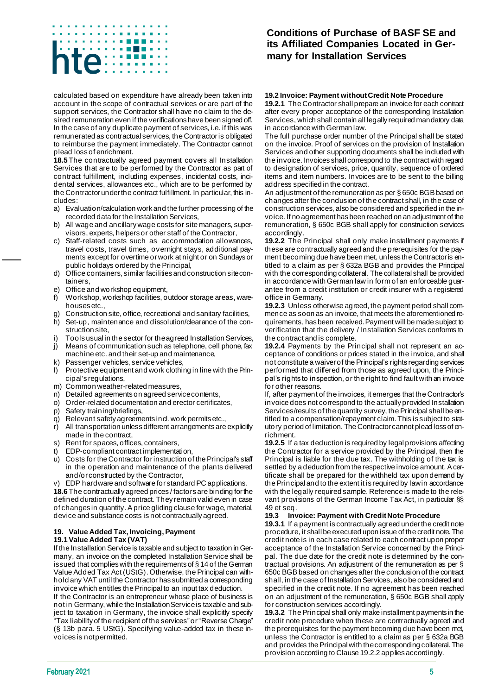# 医无子宫 医骨膜炎 インタ 日本  $\mathcal{L}$ **CONTRACTOR**

calculated based on expenditure have already been taken into account in the scope of contractual services or are part of the support services, the Contractor shall have no claim to the desired remuneration even if the verifications have been signed off. In the case of any duplicate payment of services, i.e. if this was remunerated as contractual services, the Contractor is obligated to reimburse the payment immediately. The Contractor cannot plead loss of enrichment.

**18.5** The contractually agreed payment covers all Installation Services that are to be performed by the Contractor as part of contract fulfillment, including expenses, incidental costs, incidental services, allowances etc., which are to be performed by the Contractor under the contract fulfillment. In particular, this includes:

- a) Evaluation/calculation work and the further processing of the recorded data for the Installation Services,
- b) All wage and ancillary wage costs for site managers, supervisors, experts, helpers or other staff of the Contractor,
- c) Staff-related costs such as accommodation allowances, travel costs, travel times, overnight stays, additional payments except for overtime or work at night or on Sundays or public holidays ordered by the Principal,
- d) Office containers, similar facilities and construction site containers,
- e) Office and workshop equipment,
- f) Workshop, workshop facilities, outdoor storage areas, warehouses etc.,
- g) Construction site, office, recreational and sanitary facilities,
- h) Set-up, maintenance and dissolution/clearance of the construction site,
- Tools usual in the sector for the agreed Installation Services,
- j) Means of communication such as telephone, cell phone, fax machine etc. and their set-up and maintenance,
- k) Passenger vehicles, service vehicles,
- l) Protective equipment and work clothing in line with the Principal's regulations,
- m) Common weather-related measures,
- n) Detailed agreements on agreed service contents,
- o) Order-related documentation and erector certificates,
- p) Safety training/briefings,
- q) Relevant safety agreements incl. work permits etc.,
- r) All transportation unless different arrangements are explicitly made in the contract,
- s) Rent for spaces, offices, containers,
- EDP-compliant contract implementation,
- u) Costs for the Contractor for instruction of the Principal's staff in the operation and maintenance of the plants delivered and/or constructed by the Contractor,
- v) EDP hardware and software for standard PC applications.

**18.6** The contractually agreed prices / factors are binding for the defined duration of the contract. They remain valid even in case of changes in quantity. A price gliding clause for wage, material, device and substance costs is not contractually agreed.

#### **19. Value Added Tax, Invoicing, Payment 19.1 Value Added Tax (VAT)**

If the Installation Service is taxable and subject to taxation in Germany, an invoice on the completed Installation Service shall be issued that complies with the requirements of § 14 of the German Value Added Tax Act (UStG). Otherwise, the Principal can withhold any VAT until the Contractor has submitted a corresponding invoice which entitles the Principal to an input tax deduction. If the Contractor is an entrepreneur whose place of business is not in Germany, while the Installation Service is taxable and subject to taxation in Germany, the invoice shall explicitly specify "Tax liability of the recipient of the services" or "Reverse Charge" (§ 13b para. 5 UStG). Specifying value-added tax in these invoices is not permitted.

# **Conditions of Purchase of BASF SE and its Affiliated Companies Located in Germany for Installation Services**

#### **19.2 Invoice: Payment without Credit Note Procedure**

**19.2.1** The Contractor shall prepare an invoice for each contract after every proper acceptance of the corresponding Installation Services, which shall contain all legally required mandatory data in accordance with German law.

The full purchase order number of the Principal shall be stated on the invoice. Proof of services on the provision of Installation Services and other supporting documents shall be included with the invoice. Invoices shall correspond to the contract with regard to designation of services, price, quantity, sequence of ordered items and item numbers. Invoices are to be sent to the billing address specified in the contract.

An adjustment of the remuneration as per § 650c BGB based on changes after the conclusion of the contract shall, in the case of construction services, also be considered and specified in the invoice. If no agreement has been reached on an adjustment of the remuneration, § 650c BGB shall apply for construction services accordingly.

**19.2.2** The Principal shall only make installment payments if these are contractually agreed and the prerequisites for the payment becoming due have been met, unless the Contractor is entitled to a claim as per § 632a BGB and provides the Principal with the corresponding collateral. The collateral shall be provided in accordance with German law in form of an enforceable guarantee from a credit institution or credit insurer with a registered office in Germany.

**19.2.3** Unless otherwise agreed, the payment period shall commence as soon as an invoice, that meets the aforementioned requirements, has been received. Payment will be made subject to verification that the delivery / Installation Services conforms to the contract and is complete.

**19.2.4** Payments by the Principal shall not represent an acceptance of conditions or prices stated in the invoice, and shall not constitute a waiver of the Principal's rights regarding services performed that differed from those as agreed upon, the Principal's rights to inspection, or the right to find fault with an invoice for other reasons.

If, after payment of the invoices, it emerges that the Contractor's invoice does not correspond to the actually provided Installation Services/results of the quantity survey, the Principal shall be entitled to a compensation/repayment claim. This is subject to statutory period of limitation. The Contractor cannot plead loss of enrichment.

**19.2.5** If a tax deduction is required by legal provisions affecting the Contractor for a service provided by the Principal, then the Principal is liable for the due tax. The withholding of the tax is settled by a deduction from the respective invoice amount. A certificate shall be prepared for the withheld tax upon demand by the Principal and to the extent it is required by law in accordance with the legally required sample. Reference is made to the relevant provisions of the German Income Tax Act, in particular §§ 49 et seq.

#### **19.3 Invoice: Payment with Credit Note Procedure**

**19.3.1** If a payment is contractually agreed under the credit note procedure, it shall be executed upon issue of the credit note. The credit note is in each case related to each contract upon proper acceptance of the Installation Service concerned by the Principal. The due date for the credit note is determined by the contractual provisions. An adjustment of the remuneration as per § 650c BGB based on changes after the conclusion of the contract shall, in the case of Installation Services, also be considered and specified in the credit note. If no agreement has been reached on an adjustment of the remuneration, § 650c BGB shall apply for construction services accordingly.

**19.3.2** The Principal shall only make installment payments in the credit note procedure when these are contractually agreed and the prerequisites for the payment becoming due have been met, unless the Contractor is entitled to a claim as per § 632a BGB and provides the Principal with the corresponding collateral. The provision according to Clause 19.2.2 applies accordingly.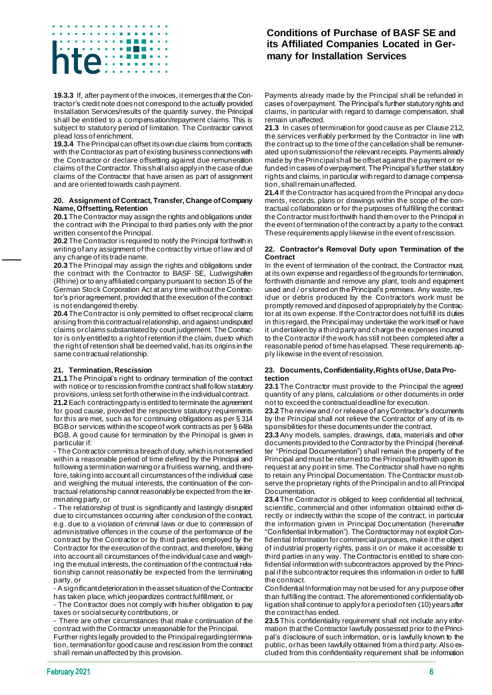# 医无子宫 医血管膜炎  $\mathsf{te}$

**19.3.3** If, after payment of the invoices, it emerges that the Contractor's credit note does not correspond to the actually provided Installation Services/results of the quantity survey, the Principal shall be entitled to a compensation/repayment claims. This is subject to statutory period of limitation. The Contractor cannot plead loss of enrichment.

**19.3.4** The Principal can offset its own due claims from contracts with the Contractor as part of existing business connections with the Contractor or declare offsetting against due remuneration claims of the Contractor. This shall also apply in the case of due claims of the Contractor that have arisen as part of assignment and are oriented towards cash payment.

#### **20. Assignment of Contract, Transfer, Change of Company Name, Offsetting, Retention**

**20.1** The Contractor may assign the rights and obligations under the contract with the Principal to third parties only with the prior written consent of the Principal.

**20.2** The Contractor is required to notify the Principal forthwith in writing of any assignment of the contract by virtue of law and of any change of its trade name.

**20.3** The Principal may assign the rights and obligations under the contract with the Contractor to BASF SE, Ludwigshafen (Rhine) or to any affiliated company pursuant to section 15 of the German Stock Corporation Act at any time without the Contractor's prior agreement, provided that the execution of the contract is not endangered thereby.

**20.4** The Contractor is only permitted to offset reciprocal claims arising from this contractual relationship, and against undisputed claims orclaims substantiated by court judgement. The Contractor is only entitled to a right of retention if the claim, due to which the right of retention shall be deemed valid, has its origins in the same contractual relationship.

#### **21. Termination, Rescission**

**21.1** The Principal's right to ordinary termination of the contract with notice or to rescission from the contract shall follow statutory provisions, unless set forth otherwise in the individual contract.

**21.2** Each contracting party is entitled to terminate the agreement for good cause, provided the respective statutory requirements for this are met, such as for continuing obligations as per § 314 BGB or services within the scope of work contracts as per § 648a BGB. A good cause for termination by the Principal is given in particular if:

- The Contractor commits a breach of duty, which is not remedied within a reasonable period of time defined by the Principal and following a termination warning or a fruitless warning, and therefore, taking into account all circumstances of the individual case and weighing the mutual interests, the continuation of the contractual relationship cannot reasonably be expected from the terminating party, or

- The relationship of trust is significantly and lastingly disrupted due to circumstances occurring after conclusion of the contract, e.g. due to a violation of criminal laws or due to commission of administrative offences in the course of the performance of the contract by the Contractor or by third parties employed by the Contractor for the execution of the contract, and therefore, taking into account all circumstances of the individual case and weighing the mutual interests, the continuation of the contractual relationship cannot reasonably be expected from the terminating party, or

- A significant deterioration in the asset situation of the Contractor has taken place, which jeopardizes contract fulfillment, or

- The Contractor does not comply with his/her obligation to pay taxes or social security contributions, or

- There are other circumstances that make continuation of the contract with the Contractor unreasonable for the Principal.

Further rights legally provided to the Principal regarding termination, termination for good cause and rescission from the contract shall remain unaffected by this provision.

# **Conditions of Purchase of BASF SE and its Affiliated Companies Located in Germany for Installation Services**

Payments already made by the Principal shall be refunded in cases of overpayment. The Principal's further statutory rights and claims, in particular with regard to damage compensation, shall remain unaffected.

**21.3** In cases of termination for good cause as per Clause 21.2, the services verifiably performed by the Contractor in line with the contract up to the time of the cancellation shall be remunerated upon submission of the relevant receipts. Payments already made by the Principal shall be offset against the payment or refunded in cases of overpayment. The Principal's further statutory rights and claims, in particular with regard to damage compensation, shall remain unaffected.

**21.4** If the Contractor has acquired from the Principal any documents, records, plans or drawings within the scope of the contractual collaboration or for the purposes of fulfilling the contract the Contractor must forthwith hand them over to the Principal in the event of termination of the contract by a party to the contract. These requirements apply likewise in the event of rescission.

#### **22. Contractor's Removal Duty upon Termination of the Contract**

In the event of termination of the contract, the Contractor must, at its own expense and regardless of the grounds for termination, forthwith dismantle and remove any plant, tools and equipment used and / or stored on the Principal's premises. Any waste, residue or debris produced by the Contractor's work must be promptly removed and disposed of appropriately by the Contractor at its own expense. If the Contractor does not fulfill its duties in this regard, the Principal may undertake the work itself or have it undertaken by a third party and charge the expenses incurred to the Contractor if the work has still not been completed after a reasonable period of time has elapsed. These requirements apply likewise in the event of rescission.

#### **23. Documents, Confidentiality, Rights of Use, Data Protection**

**23.1** The Contractor must provide to the Principal the agreed quantity of any plans, calculations or other documents in order not to exceed the contractual deadline for execution.

**23.2** The review and / or release of any Contractor's documents by the Principal shall not relieve the Contractor of any of its responsibilities for these documents under the contract.

**23.3** Any models, samples, drawings, data, materials and other documents provided to the Contractor by the Principal (hereinafter "Principal Documentation") shall remain the property of the Principal and must be returned to the Principal forthwith upon its request at any point in time. The Contractor shall have no rights to retain any Principal Documentation. The Contractor must observe the proprietary rights of the Principal in and to all Principal Documentation.

**23.4** The Contractor is obliged to keep confidential all technical, scientific, commercial and other information obtained either directly or indirectly within the scope of the contract, in particular the information given in Principal Documentation (hereinafter "Confidential Information"). The Contractor may not exploit Confidential Information for commercial purposes, make it the object of industrial property rights, pass it on or make it accessible to third parties in any way. The Contractor is entitled to share confidential information with subcontractors approved by the Principal if the subcontractor requires this information in order to fulfill the contract.

Confidential Information may not be used for any purpose other than fulfilling the contract. The aforementioned confidentiality obligation shall continue to apply for a period of ten (10) years after the contract has ended.

**23.5** This confidentiality requirement shall not include any information that the Contractor lawfully possessed prior to the Principal's disclosure of such information, or is lawfully known to the public, or has been lawfully obtained from a third party. Also excluded from this confidentiality requirement shall be information